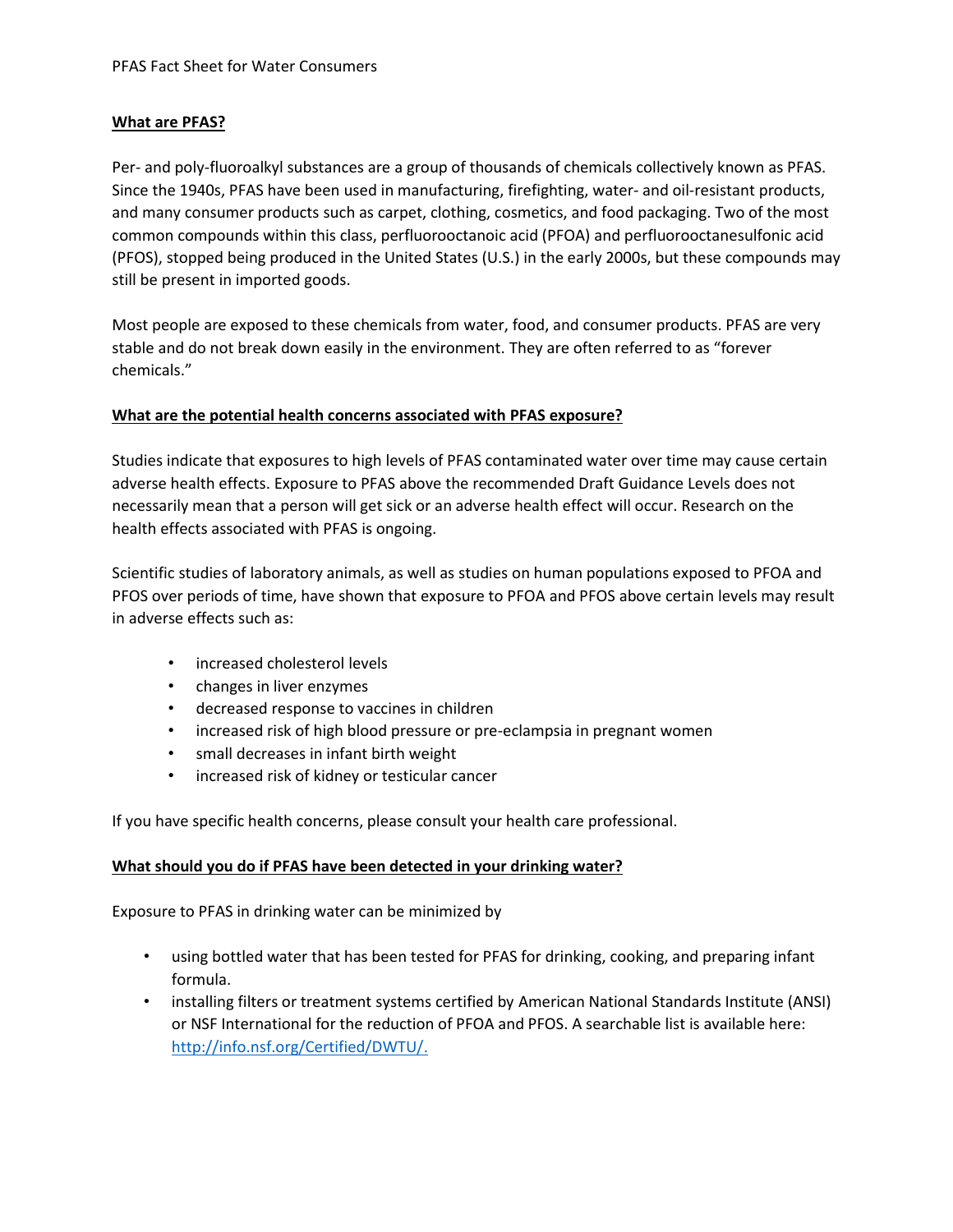## **What are PFAS?**

Per- and poly-fluoroalkyl substances are a group of thousands of chemicals collectively known as PFAS. Since the 1940s, PFAS have been used in manufacturing, firefighting, water- and oil-resistant products, and many consumer products such as carpet, clothing, cosmetics, and food packaging. Two of the most common compounds within this class, perfluorooctanoic acid (PFOA) and perfluorooctanesulfonic acid (PFOS), stopped being produced in the United States (U.S.) in the early 2000s, but these compounds may still be present in imported goods.

Most people are exposed to these chemicals from water, food, and consumer products. PFAS are very stable and do not break down easily in the environment. They are often referred to as "forever chemicals."

## **What are the potential health concerns associated with PFAS exposure?**

Studies indicate that exposures to high levels of PFAS contaminated water over time may cause certain adverse health effects. Exposure to PFAS above the recommended Draft Guidance Levels does not necessarily mean that a person will get sick or an adverse health effect will occur. Research on the health effects associated with PFAS is ongoing.

Scientific studies of laboratory animals, as well as studies on human populations exposed to PFOA and PFOS over periods of time, have shown that exposure to PFOA and PFOS above certain levels may result in adverse effects such as:

- increased cholesterol levels
- changes in liver enzymes
- decreased response to vaccines in children
- increased risk of high blood pressure or pre-eclampsia in pregnant women
- small decreases in infant birth weight
- increased risk of kidney or testicular cancer

If you have specific health concerns, please consult your health care professional.

#### **What should you do if PFAS have been detected in your drinking water?**

Exposure to PFAS in drinking water can be minimized by

- using bottled water that has been tested for PFAS for drinking, cooking, and preparing infant formula.
- installing filters or treatment systems certified by American National Standards Institute (ANSI) or NSF International for the reduction of PFOA and PFOS. A searchable list is available here: [http://info.nsf.org/Certified/DWTU/.](http://info.nsf.org/Certified/DWTU/)